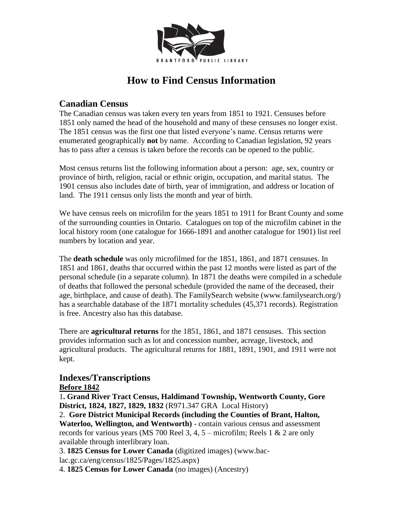

# **How to Find Census Information**

## **Canadian Census**

The Canadian census was taken every ten years from 1851 to 1921. Censuses before 1851 only named the head of the household and many of these censuses no longer exist. The 1851 census was the first one that listed everyone's name. Census returns were enumerated geographically **not** by name. According to Canadian legislation, 92 years has to pass after a census is taken before the records can be opened to the public.

Most census returns list the following information about a person: age, sex, country or province of birth, religion, racial or ethnic origin, occupation, and marital status. The 1901 census also includes date of birth, year of immigration, and address or location of land. The 1911 census only lists the month and year of birth.

We have census reels on microfilm for the years 1851 to 1911 for Brant County and some of the surrounding counties in Ontario. Catalogues on top of the microfilm cabinet in the local history room (one catalogue for 1666-1891 and another catalogue for 1901) list reel numbers by location and year.

The **death schedule** was only microfilmed for the 1851, 1861, and 1871 censuses. In 1851 and 1861, deaths that occurred within the past 12 months were listed as part of the personal schedule (in a separate column). In 1871 the deaths were compiled in a schedule of deaths that followed the personal schedule (provided the name of the deceased, their age, birthplace, and cause of death). The FamilySearch website (www.familysearch.org/) has a searchable database of the 1871 mortality schedules (45,371 records). Registration is free. Ancestry also has this database.

There are **agricultural returns** for the 1851, 1861, and 1871 censuses. This section provides information such as lot and concession number, acreage, livestock, and agricultural products. The agricultural returns for 1881, 1891, 1901, and 1911 were not kept.

#### **Indexes/Transcriptions Before 1842**

1**. Grand River Tract Census, Haldimand Township, Wentworth County, Gore District, 1824, 1827, 1829, 1832** (R971.347 GRA Local History)

2. **Gore District Municipal Records (including the Counties of Brant, Halton, Waterloo, Wellington, and Wentworth)** - contain various census and assessment records for various years (MS 700 Reel 3, 4, 5 – microfilm; Reels 1 & 2 are only available through interlibrary loan.

3. **1825 Census for Lower Canada** (digitized images) (www.bac-

lac.gc.ca/eng/census/1825/Pages/1825.aspx)

4. **1825 Census for Lower Canada** (no images) (Ancestry)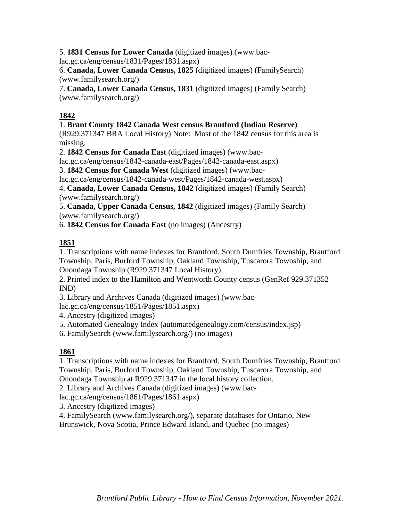5. **1831 Census for Lower Canada** (digitized images) (www.bac-

lac.gc.ca/eng/census/1831/Pages/1831.aspx)

6. **Canada, Lower Canada Census, 1825** (digitized images) (FamilySearch) (www.familysearch.org/)

7. **Canada, Lower Canada Census, 1831** (digitized images) (Family Search) (www.familysearch.org/)

## **1842**

#### 1. **Brant County 1842 Canada West census Brantford (Indian Reserve)**

(R929.371347 BRA Local History) Note: Most of the 1842 census for this area is missing.

2. **1842 Census for Canada East** (digitized images) (www.bac-

lac.gc.ca/eng/census/1842-canada-east/Pages/1842-canada-east.aspx)

3. **1842 Census for Canada West** (digitized images) (www.bac-

lac.gc.ca/eng/census/1842-canada-west/Pages/1842-canada-west.aspx)

4. **Canada, Lower Canada Census, 1842** (digitized images) (Family Search) (www.familysearch.org/)

5. **Canada, Upper Canada Census, 1842** (digitized images) (Family Search) (www.familysearch.org/)

6. **1842 Census for Canada East** (no images) (Ancestry)

# **1851**

1. Transcriptions with name indexes for Brantford, South Dumfries Township, Brantford Township, Paris, Burford Township, Oakland Township, Tuscarora Township, and Onondaga Township (R929.371347 Local History).

2. Printed index to the Hamilton and Wentworth County census (GenRef 929.371352 IND)

3. Library and Archives Canada (digitized images) (www.bac-

lac.gc.ca/eng/census/1851/Pages/1851.aspx)

4. Ancestry (digitized images)

5. Automated Genealogy Index (automatedgenealogy.com/census/index.jsp)

6. FamilySearch (www.familysearch.org/) (no images)

#### **1861**

1. Transcriptions with name indexes for Brantford, South Dumfries Township, Brantford Township, Paris, Burford Township, Oakland Township, Tuscarora Township, and Onondaga Township at R929.371347 in the local history collection.

2. Library and Archives Canada (digitized images) (www.bac-

lac.gc.ca/eng/census/1861/Pages/1861.aspx)

3. Ancestry (digitized images)

4. FamilySearch (www.familysearch.org/), separate databases for Ontario, New Brunswick, Nova Scotia, Prince Edward Island, and Quebec (no images)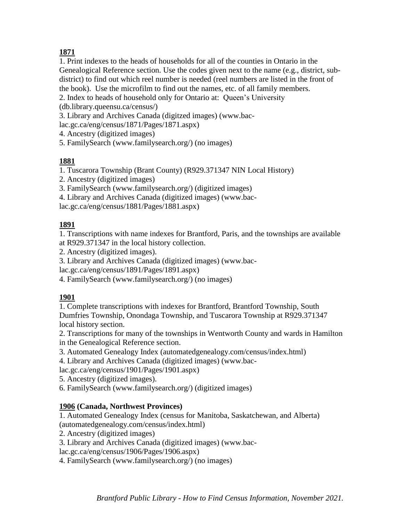# **1871**

1. Print indexes to the heads of households for all of the counties in Ontario in the Genealogical Reference section. Use the codes given next to the name (e.g., district, subdistrict) to find out which reel number is needed (reel numbers are listed in the front of the book). Use the microfilm to find out the names, etc. of all family members.

2. Index to heads of household only for Ontario at: Queen's University

(db.library.queensu.ca/census/)

3. Library and Archives Canada (digitzed images) (www.baclac.gc.ca/eng/census/1871/Pages/1871.aspx)

4. Ancestry (digitized images)

5. FamilySearch (www.familysearch.org/) (no images)

## **1881**

1. Tuscarora Township (Brant County) (R929.371347 NIN Local History)

2. Ancestry (digitized images)

3. FamilySearch (www.familysearch.org/) (digitized images)

4. Library and Archives Canada (digitized images) (www.bac-

lac.gc.ca/eng/census/1881/Pages/1881.aspx)

## **1891**

1. Transcriptions with name indexes for Brantford, Paris, and the townships are available at R929.371347 in the local history collection.

2. Ancestry (digitized images).

3. Library and Archives Canada (digitized images) (www.bac-

lac.gc.ca/eng/census/1891/Pages/1891.aspx)

4. FamilySearch (www.familysearch.org/) (no images)

#### **1901**

1. Complete transcriptions with indexes for Brantford, Brantford Township, South Dumfries Township, Onondaga Township, and Tuscarora Township at R929.371347 local history section.

2. Transcriptions for many of the townships in Wentworth County and wards in Hamilton in the Genealogical Reference section.

3. Automated Genealogy Index (automatedgenealogy.com/census/index.html)

4. Library and Archives Canada (digitized images) (www.bac-

lac.gc.ca/eng/census/1901/Pages/1901.aspx)

5. Ancestry (digitized images).

6. FamilySearch (www.familysearch.org/) (digitized images)

#### **1906 (Canada, Northwest Provinces)**

1. Automated Genealogy Index (census for Manitoba, Saskatchewan, and Alberta) (automatedgenealogy.com/census/index.html)

2. Ancestry (digitized images)

3. Library and Archives Canada (digitized images) (www.bac-

lac.gc.ca/eng/census/1906/Pages/1906.aspx)

4. FamilySearch (www.familysearch.org/) (no images)